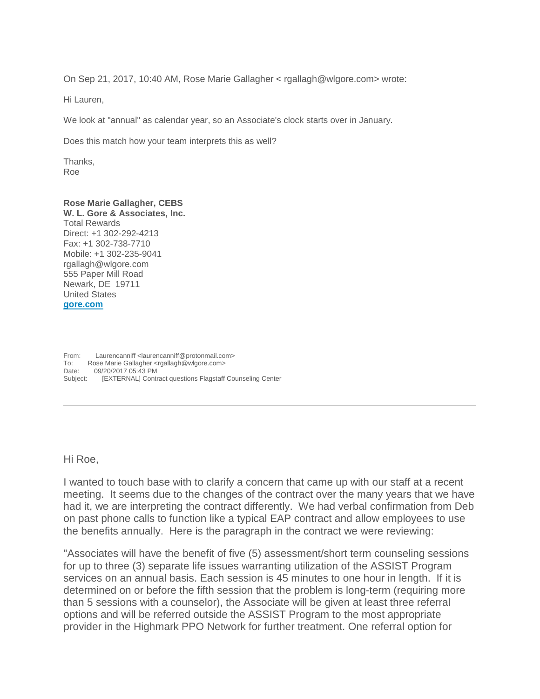On Sep 21, 2017, 10:40 AM, Rose Marie Gallagher < rgallagh@wlgore.com> wrote:

Hi Lauren,

We look at "annual" as calendar year, so an Associate's clock starts over in January.

Does this match how your team interprets this as well?

Thanks, Roe

## **Rose Marie Gallagher, CEBS**

**W. L. Gore & Associates, Inc.** Total Rewards Direct: +1 302-292-4213 Fax: +1 302-738-7710 Mobile: +1 302-235-9041 rgallagh@wlgore.com 555 Paper Mill Road Newark, DE 19711 United States **[gore.com](http://www.gore.com/)**

From: Laurencanniff <laurencanniff@protonmail.com> To: Rose Marie Gallagher <rgallagh@wlgore.com> Date: 09/20/2017 05:43 PM Subject: [EXTERNAL] Contract questions Flagstaff Counseling Center

Hi Roe,

I wanted to touch base with to clarify a concern that came up with our staff at a recent meeting. It seems due to the changes of the contract over the many years that we have had it, we are interpreting the contract differently. We had verbal confirmation from Deb on past phone calls to function like a typical EAP contract and allow employees to use the benefits annually. Here is the paragraph in the contract we were reviewing:

"Associates will have the benefit of five (5) assessment/short term counseling sessions for up to three (3) separate life issues warranting utilization of the ASSIST Program services on an annual basis. Each session is 45 minutes to one hour in length. If it is determined on or before the fifth session that the problem is long-term (requiring more than 5 sessions with a counselor), the Associate will be given at least three referral options and will be referred outside the ASSIST Program to the most appropriate provider in the Highmark PPO Network for further treatment. One referral option for